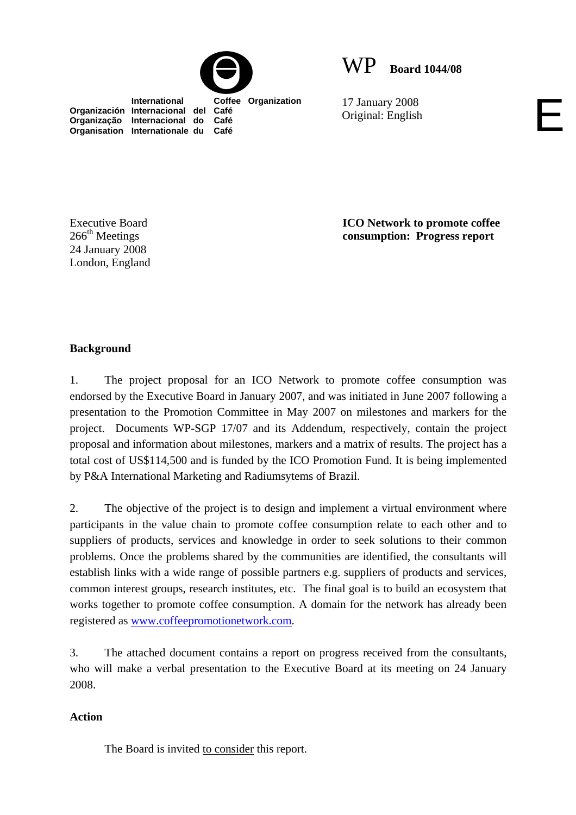



 **International Coffee Organization Organización Internacional del Café Organização Internacional do Café Organisation Internationale du Café**

17 January 2008 17 January 2008<br>Original: English

Executive Board  $266<sup>th</sup>$  Meetings 24 January 2008 London, England **ICO Network to promote coffee consumption: Progress report**

## **Background**

1. The project proposal for an ICO Network to promote coffee consumption was endorsed by the Executive Board in January 2007, and was initiated in June 2007 following a presentation to the Promotion Committee in May 2007 on milestones and markers for the project. Documents WP-SGP 17/07 and its Addendum, respectively, contain the project proposal and information about milestones, markers and a matrix of results. The project has a total cost of US\$114,500 and is funded by the ICO Promotion Fund. It is being implemented by P&A International Marketing and Radiumsytems of Brazil.

2. The objective of the project is to design and implement a virtual environment where participants in the value chain to promote coffee consumption relate to each other and to suppliers of products, services and knowledge in order to seek solutions to their common problems. Once the problems shared by the communities are identified, the consultants will establish links with a wide range of possible partners e.g. suppliers of products and services, common interest groups, research institutes, etc. The final goal is to build an ecosystem that works together to promote coffee consumption. A domain for the network has already been registered as www.coffeepromotionetwork.com.

3. The attached document contains a report on progress received from the consultants, who will make a verbal presentation to the Executive Board at its meeting on 24 January 2008.

#### **Action**

The Board is invited to consider this report.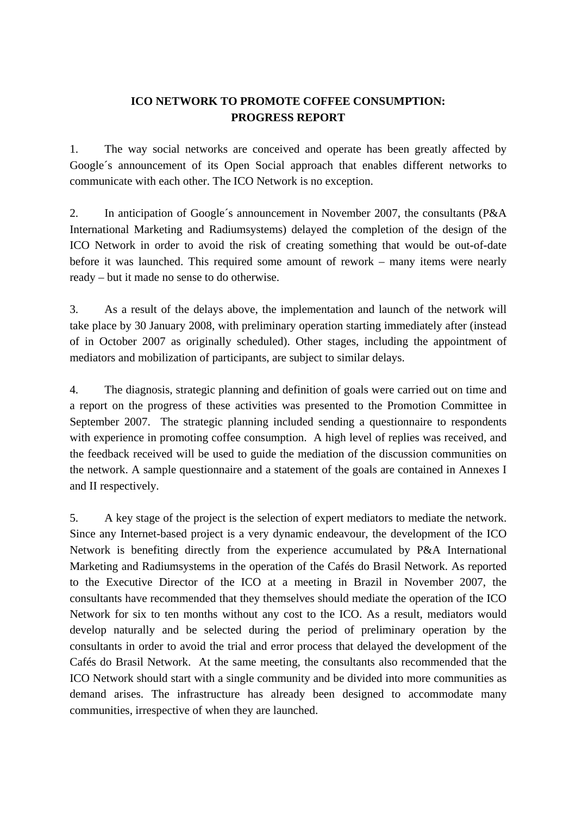# **ICO NETWORK TO PROMOTE COFFEE CONSUMPTION: PROGRESS REPORT**

1. The way social networks are conceived and operate has been greatly affected by Google´s announcement of its Open Social approach that enables different networks to communicate with each other. The ICO Network is no exception.

2. In anticipation of Google´s announcement in November 2007, the consultants (P&A International Marketing and Radiumsystems) delayed the completion of the design of the ICO Network in order to avoid the risk of creating something that would be out-of-date before it was launched. This required some amount of rework – many items were nearly ready – but it made no sense to do otherwise.

3. As a result of the delays above, the implementation and launch of the network will take place by 30 January 2008, with preliminary operation starting immediately after (instead of in October 2007 as originally scheduled). Other stages, including the appointment of mediators and mobilization of participants, are subject to similar delays.

4. The diagnosis, strategic planning and definition of goals were carried out on time and a report on the progress of these activities was presented to the Promotion Committee in September 2007. The strategic planning included sending a questionnaire to respondents with experience in promoting coffee consumption. A high level of replies was received, and the feedback received will be used to guide the mediation of the discussion communities on the network. A sample questionnaire and a statement of the goals are contained in Annexes I and II respectively.

5. A key stage of the project is the selection of expert mediators to mediate the network. Since any Internet-based project is a very dynamic endeavour, the development of the ICO Network is benefiting directly from the experience accumulated by P&A International Marketing and Radiumsystems in the operation of the Cafés do Brasil Network. As reported to the Executive Director of the ICO at a meeting in Brazil in November 2007, the consultants have recommended that they themselves should mediate the operation of the ICO Network for six to ten months without any cost to the ICO. As a result, mediators would develop naturally and be selected during the period of preliminary operation by the consultants in order to avoid the trial and error process that delayed the development of the Cafés do Brasil Network. At the same meeting, the consultants also recommended that the ICO Network should start with a single community and be divided into more communities as demand arises. The infrastructure has already been designed to accommodate many communities, irrespective of when they are launched.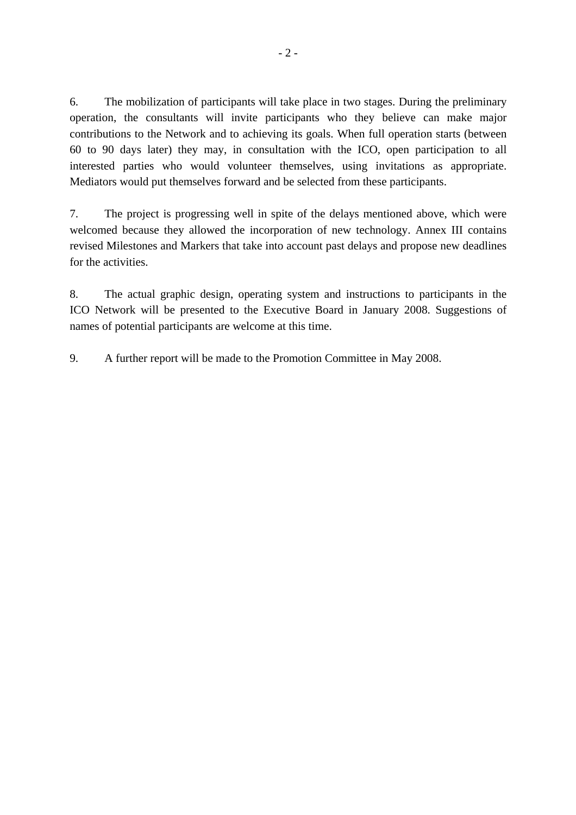6. The mobilization of participants will take place in two stages. During the preliminary operation, the consultants will invite participants who they believe can make major contributions to the Network and to achieving its goals. When full operation starts (between 60 to 90 days later) they may, in consultation with the ICO, open participation to all interested parties who would volunteer themselves, using invitations as appropriate. Mediators would put themselves forward and be selected from these participants.

7. The project is progressing well in spite of the delays mentioned above, which were welcomed because they allowed the incorporation of new technology. Annex III contains revised Milestones and Markers that take into account past delays and propose new deadlines for the activities.

8. The actual graphic design, operating system and instructions to participants in the ICO Network will be presented to the Executive Board in January 2008. Suggestions of names of potential participants are welcome at this time.

9. A further report will be made to the Promotion Committee in May 2008.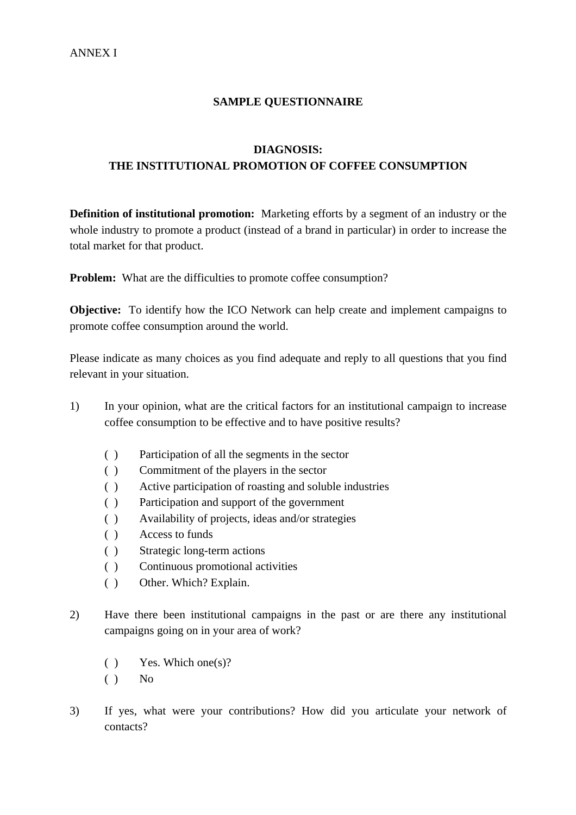### **SAMPLE QUESTIONNAIRE**

## **DIAGNOSIS: THE INSTITUTIONAL PROMOTION OF COFFEE CONSUMPTION**

**Definition of institutional promotion:** Marketing efforts by a segment of an industry or the whole industry to promote a product (instead of a brand in particular) in order to increase the total market for that product.

**Problem:** What are the difficulties to promote coffee consumption?

**Objective:** To identify how the ICO Network can help create and implement campaigns to promote coffee consumption around the world.

Please indicate as many choices as you find adequate and reply to all questions that you find relevant in your situation.

- 1) In your opinion, what are the critical factors for an institutional campaign to increase coffee consumption to be effective and to have positive results?
	- ( ) Participation of all the segments in the sector
	- ( ) Commitment of the players in the sector
	- ( ) Active participation of roasting and soluble industries
	- ( ) Participation and support of the government
	- ( ) Availability of projects, ideas and/or strategies
	- ( ) Access to funds
	- ( ) Strategic long-term actions
	- ( ) Continuous promotional activities
	- ( ) Other. Which? Explain.
- 2) Have there been institutional campaigns in the past or are there any institutional campaigns going on in your area of work?
	- ( ) Yes. Which one(s)?
	- $()$  No
- 3) If yes, what were your contributions? How did you articulate your network of contacts?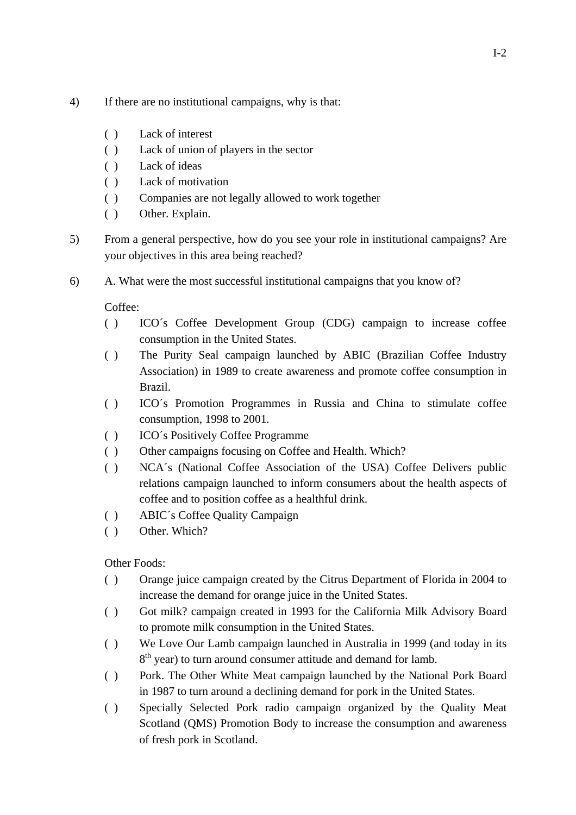- 4) If there are no institutional campaigns, why is that:
	- ( ) Lack of interest
	- ( ) Lack of union of players in the sector
	- ( ) Lack of ideas
	- ( ) Lack of motivation
	- ( ) Companies are not legally allowed to work together
	- ( ) Other. Explain.
- 5) From a general perspective, how do you see your role in institutional campaigns? Are your objectives in this area being reached?
- 6) A. What were the most successful institutional campaigns that you know of?

Coffee:

- ( ) ICO´s Coffee Development Group (CDG) campaign to increase coffee consumption in the United States.
- ( ) The Purity Seal campaign launched by ABIC (Brazilian Coffee Industry Association) in 1989 to create awareness and promote coffee consumption in Brazil.
- ( ) ICO´s Promotion Programmes in Russia and China to stimulate coffee consumption, 1998 to 2001.
- ( ) ICO´s Positively Coffee Programme
- ( ) Other campaigns focusing on Coffee and Health. Which?
- ( ) NCA´s (National Coffee Association of the USA) Coffee Delivers public relations campaign launched to inform consumers about the health aspects of coffee and to position coffee as a healthful drink.
- ( ) ABIC´s Coffee Quality Campaign
- ( ) Other. Which?

Other Foods:

- ( ) Orange juice campaign created by the Citrus Department of Florida in 2004 to increase the demand for orange juice in the United States.
- ( ) Got milk? campaign created in 1993 for the California Milk Advisory Board to promote milk consumption in the United States.
- ( ) We Love Our Lamb campaign launched in Australia in 1999 (and today in its  $8<sup>th</sup>$  year) to turn around consumer attitude and demand for lamb.
- ( ) Pork. The Other White Meat campaign launched by the National Pork Board in 1987 to turn around a declining demand for pork in the United States.
- ( ) Specially Selected Pork radio campaign organized by the Quality Meat Scotland (QMS) Promotion Body to increase the consumption and awareness of fresh pork in Scotland.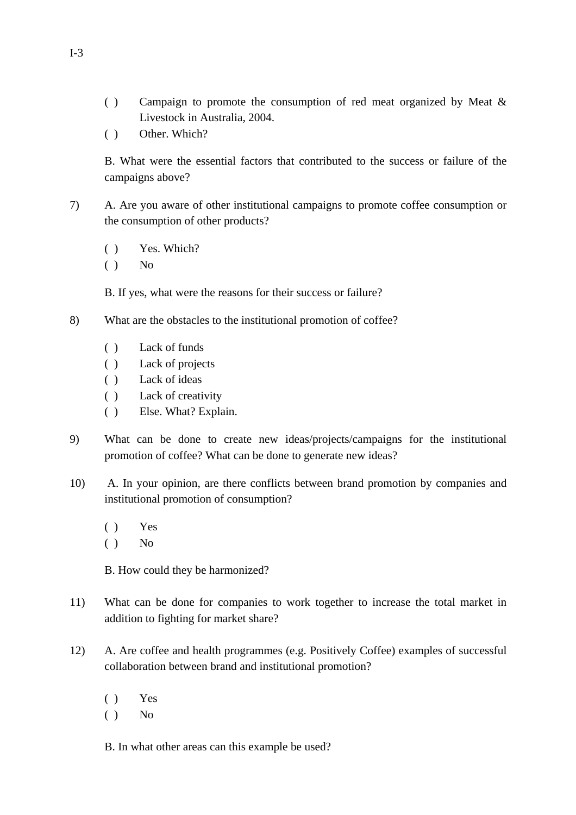- ( ) Campaign to promote the consumption of red meat organized by Meat & Livestock in Australia, 2004.
- ( ) Other. Which?

 B. What were the essential factors that contributed to the success or failure of the campaigns above?

- 7) A. Are you aware of other institutional campaigns to promote coffee consumption or the consumption of other products?
	- ( ) Yes. Which?
	- $()$  No

B. If yes, what were the reasons for their success or failure?

- 8) What are the obstacles to the institutional promotion of coffee?
	- ( ) Lack of funds
	- ( ) Lack of projects
	- ( ) Lack of ideas
	- ( ) Lack of creativity
	- ( ) Else. What? Explain.
- 9) What can be done to create new ideas/projects/campaigns for the institutional promotion of coffee? What can be done to generate new ideas?
- 10) A. In your opinion, are there conflicts between brand promotion by companies and institutional promotion of consumption?
	- ( ) Yes
	- $()$  No

B. How could they be harmonized?

- 11) What can be done for companies to work together to increase the total market in addition to fighting for market share?
- 12) A. Are coffee and health programmes (e.g. Positively Coffee) examples of successful collaboration between brand and institutional promotion?
	- ( ) Yes
	- $()$  No

B. In what other areas can this example be used?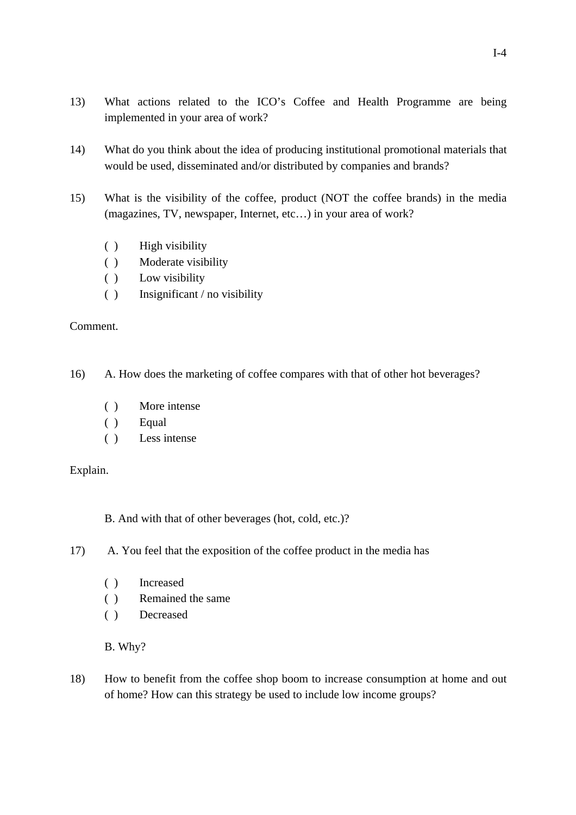- 13) What actions related to the ICO's Coffee and Health Programme are being implemented in your area of work?
- 14) What do you think about the idea of producing institutional promotional materials that would be used, disseminated and/or distributed by companies and brands?
- 15) What is the visibility of the coffee, product (NOT the coffee brands) in the media (magazines, TV, newspaper, Internet, etc…) in your area of work?
	- ( ) High visibility
	- ( ) Moderate visibility
	- ( ) Low visibility
	- ( ) Insignificant / no visibility

## Comment.

16) A. How does the marketing of coffee compares with that of other hot beverages?

- ( ) More intense
- ( ) Equal
- ( ) Less intense

# Explain.

B. And with that of other beverages (hot, cold, etc.)?

- 17) A. You feel that the exposition of the coffee product in the media has
	- ( ) Increased
	- ( ) Remained the same
	- ( ) Decreased

B. Why?

18) How to benefit from the coffee shop boom to increase consumption at home and out of home? How can this strategy be used to include low income groups?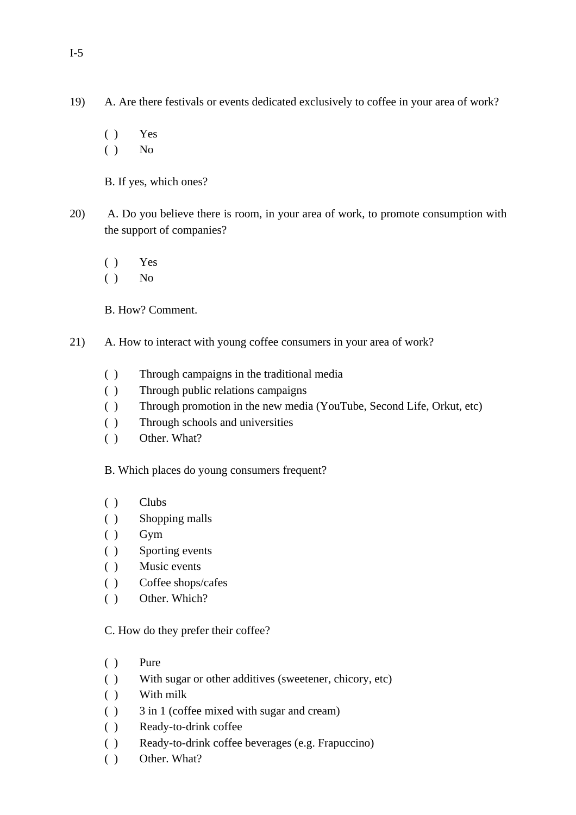- ( ) Yes
- $()$  No

B. If yes, which ones?

- 20) A. Do you believe there is room, in your area of work, to promote consumption with the support of companies?
	- ( ) Yes
	- $()$  No
	- B. How? Comment.
- 21) A. How to interact with young coffee consumers in your area of work?
	- ( ) Through campaigns in the traditional media
	- ( ) Through public relations campaigns
	- ( ) Through promotion in the new media (YouTube, Second Life, Orkut, etc)
	- ( ) Through schools and universities
	- ( ) Other. What?

B. Which places do young consumers frequent?

- ( ) Clubs
- ( ) Shopping malls
- $()$  Gym
- ( ) Sporting events
- ( ) Music events
- ( ) Coffee shops/cafes
- ( ) Other. Which?

C. How do they prefer their coffee?

- ( ) Pure
- ( ) With sugar or other additives (sweetener, chicory, etc)
- ( ) With milk
- ( ) 3 in 1 (coffee mixed with sugar and cream)
- ( ) Ready-to-drink coffee
- ( ) Ready-to-drink coffee beverages (e.g. Frapuccino)
- ( ) Other. What?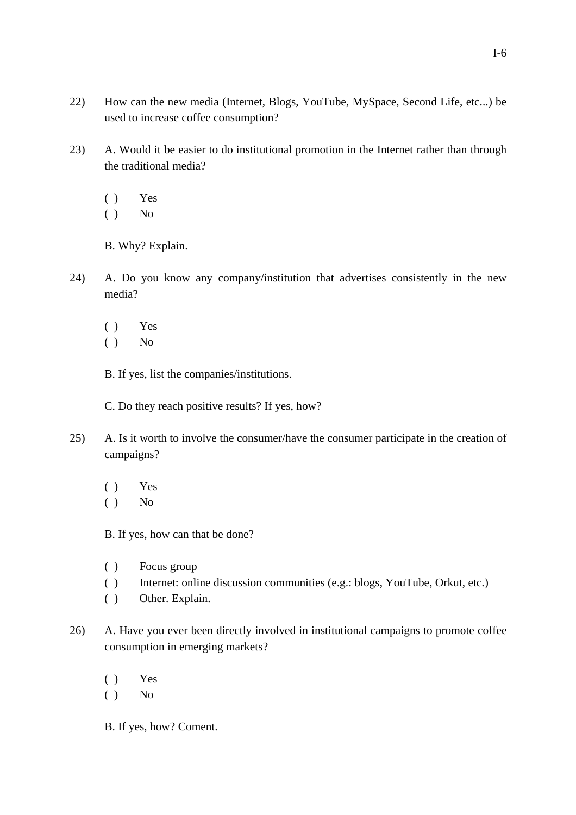- 22) How can the new media (Internet, Blogs, YouTube, MySpace, Second Life, etc...) be used to increase coffee consumption?
- 23) A. Would it be easier to do institutional promotion in the Internet rather than through the traditional media?
	- ( ) Yes
	- $()$  No
	- B. Why? Explain.
- 24) A. Do you know any company/institution that advertises consistently in the new media?
	- ( ) Yes
	- $()$  No

B. If yes, list the companies/institutions.

- C. Do they reach positive results? If yes, how?
- 25) A. Is it worth to involve the consumer/have the consumer participate in the creation of campaigns?
	- ( ) Yes
	- $()$  No
	- B. If yes, how can that be done?
	- ( ) Focus group
	- ( ) Internet: online discussion communities (e.g.: blogs, YouTube, Orkut, etc.)
	- ( ) Other. Explain.
- 26) A. Have you ever been directly involved in institutional campaigns to promote coffee consumption in emerging markets?
	- ( ) Yes
	- $()$  No
	- B. If yes, how? Coment.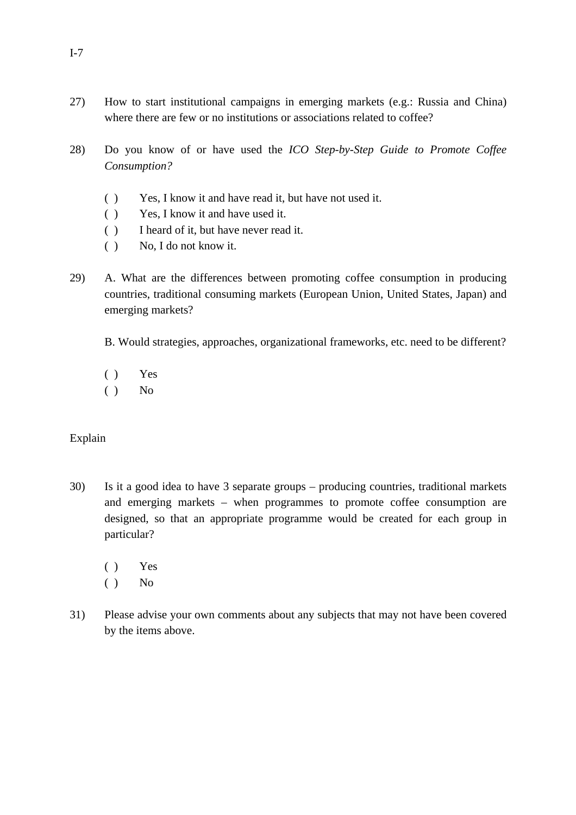- 27) How to start institutional campaigns in emerging markets (e.g.: Russia and China) where there are few or no institutions or associations related to coffee?
- 28) Do you know of or have used the *ICO Step-by-Step Guide to Promote Coffee Consumption?*
	- ( ) Yes, I know it and have read it, but have not used it.
	- ( ) Yes, I know it and have used it.
	- ( ) I heard of it, but have never read it.
	- ( ) No, I do not know it.
- 29) A. What are the differences between promoting coffee consumption in producing countries, traditional consuming markets (European Union, United States, Japan) and emerging markets?
	- B. Would strategies, approaches, organizational frameworks, etc. need to be different?
	- ( ) Yes
	- $()$  No

#### Explain

- 30) Is it a good idea to have 3 separate groups producing countries, traditional markets and emerging markets – when programmes to promote coffee consumption are designed, so that an appropriate programme would be created for each group in particular?
	- ( ) Yes
	- $()$  No
- 31) Please advise your own comments about any subjects that may not have been covered by the items above.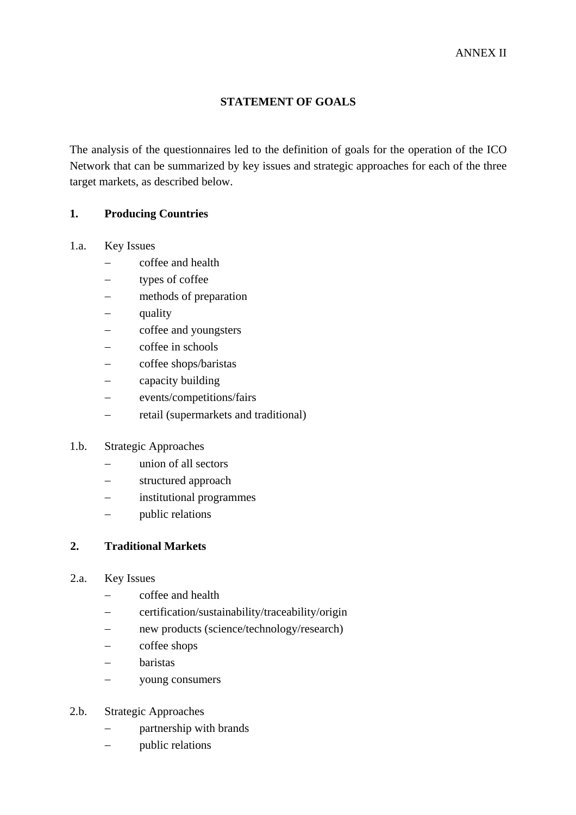### **STATEMENT OF GOALS**

The analysis of the questionnaires led to the definition of goals for the operation of the ICO Network that can be summarized by key issues and strategic approaches for each of the three target markets, as described below.

#### **1. Producing Countries**

#### 1.a. Key Issues

- − coffee and health
- − types of coffee
- − methods of preparation
- − quality
- − coffee and youngsters
- coffee in schools
- − coffee shops/baristas
- capacity building
- − events/competitions/fairs
- − retail (supermarkets and traditional)

### 1.b. Strategic Approaches

- − union of all sectors
- − structured approach
- − institutional programmes
- − public relations

### **2. Traditional Markets**

- 2.a. Key Issues
	- − coffee and health
	- − certification/sustainability/traceability/origin
	- − new products (science/technology/research)
	- − coffee shops
	- − baristas
	- − young consumers
- 2.b. Strategic Approaches
	- partnership with brands
	- − public relations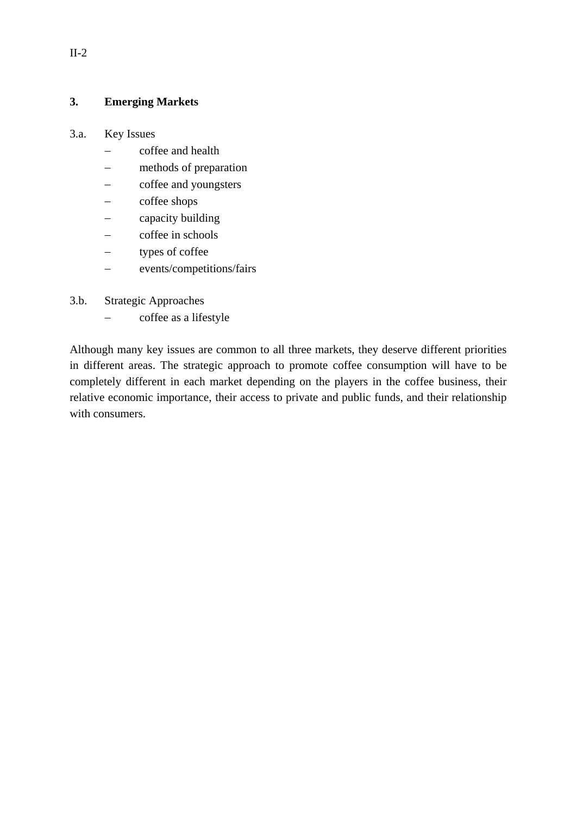### **3. Emerging Markets**

### 3.a. Key Issues

- − coffee and health
- − methods of preparation
- coffee and youngsters
- coffee shops
- capacity building
- − coffee in schools
- − types of coffee
- − events/competitions/fairs
- 3.b. Strategic Approaches
	- − coffee as a lifestyle

Although many key issues are common to all three markets, they deserve different priorities in different areas. The strategic approach to promote coffee consumption will have to be completely different in each market depending on the players in the coffee business, their relative economic importance, their access to private and public funds, and their relationship with consumers.